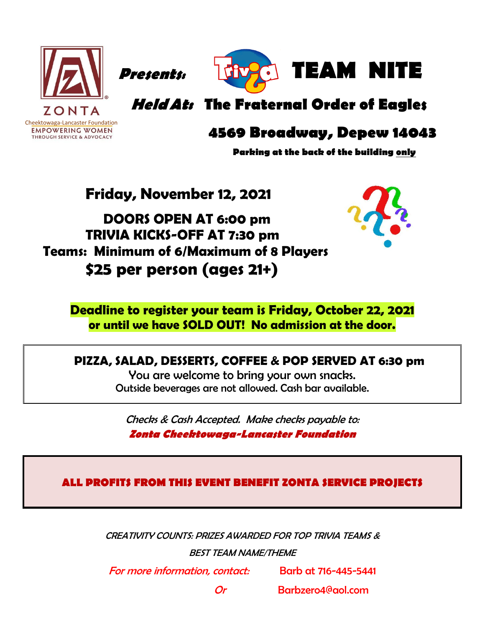

Cheektowaga-Lancaster Foundation<br> **EMPOWERING WOMEN** 

THROUGH SERVICE & ADVOCACY

 **Presents: TEAM NITE**

**HeldAt: The Fraternal Order of Eagles**

### **4569 Broadway, Depew 14043**

**Parking at the back of the building only**

**Friday, November 12, 2021**

 **DOORS OPEN AT 6:00 pm TRIVIA KICKS-OFF AT 7:30 pm Teams: Minimum of 6/Maximum of 8 Players \$25 per person (ages 21+)**



**Deadline to register your team is Friday, October 22, 2021 or until we have SOLD OUT! No admission at the door.**

#### **PIZZA, SALAD, DESSERTS, COFFEE & POP SERVED AT 6:30 pm**

You are welcome to bring your own snacks. Outside beverages are not allowed. Cash bar available.

Checks & Cash Accepted. Make checks payable to: **Zonta Cheektowaga-Lancaster Foundation**

**ALL PROFITS FROM THIS EVENT BENEFIT ZONTA SERVICE PROJECTS**

CREATIVITY COUNTS: PRIZES AWARDED FOR TOP TRIVIA TEAMS & BEST TEAM NAME/THEME

For more information, contact: Barb at 716-445-5441

Or Barbzero4@aol.com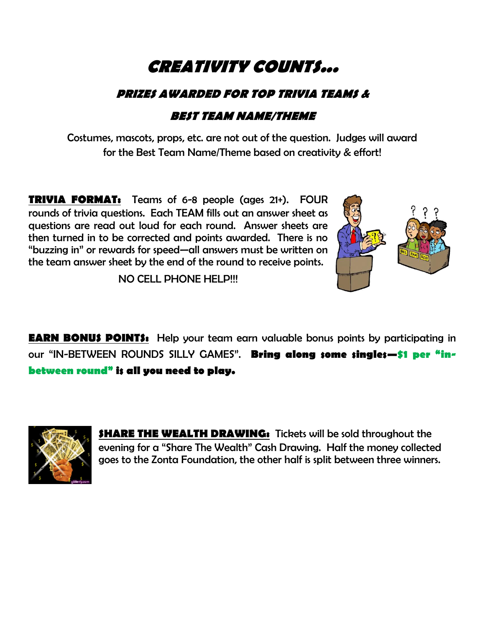## **CREATIVITY COUNTS...**

#### **PRIZES AWARDED FOR TOP TRIVIA TEAMS &**

#### **BEST TEAM NAME/THEME**

Costumes, mascots, props, etc. are not out of the question. Judges will award for the Best Team Name/Theme based on creativity & effort!

**TRIVIA FORMAT:** Teams of 6-8 people (ages 21+). FOUR rounds of trivia questions. Each TEAM fills out an answer sheet as questions are read out loud for each round. Answer sheets are then turned in to be corrected and points awarded. There is no "buzzing in" or rewards for speed—all answers must be written on the team answer sheet by the end of the round to receive points.



NO CELL PHONE HELP!!!

**EARN BONUS POINTS:** Help your team earn valuable bonus points by participating in our "IN-BETWEEN ROUNDS SILLY GAMES". **Bring along some singles—\$1 per "inbetween round" is all you need to play.**



**SHARE THE WEALTH DRAWING:** Tickets will be sold throughout the evening for a "Share The Wealth" Cash Drawing. Half the money collected goes to the Zonta Foundation, the other half is split between three winners.